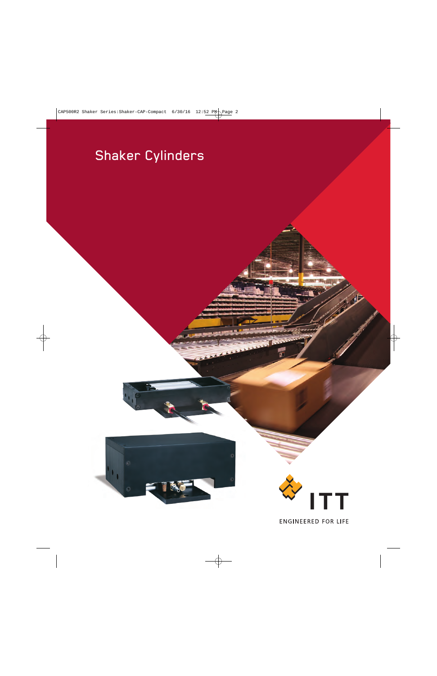# Shaker Cylinders

 $\mathbf{I}_{\mathbf{L}}$ 



**ENGINEERED FOR LIFE**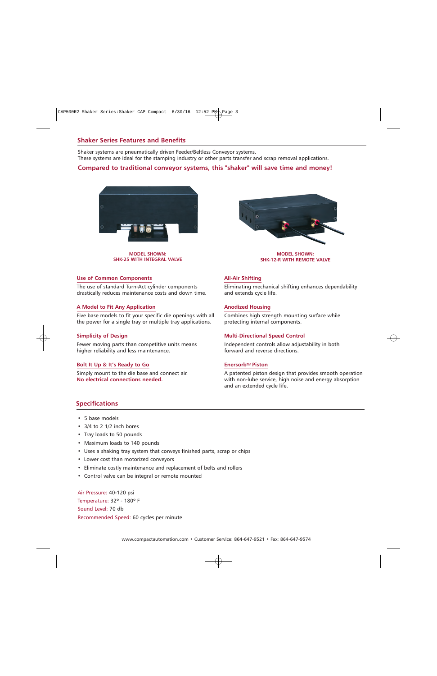# **Shaker Series Features and Benefits**

Shaker systems are pneumatically driven Feeder/Beltless Conveyor systems. These systems are ideal for the stamping industry or other parts transfer and scrap removal applications.

## **Compared to traditional conveyor systems, this "shaker" will save time and money!**



**MODEL SHOWN: SHK-25 WITH INTEGRAL VALVE**



**MODEL SHOWN: SHK-12-R WITH REMOTE VALVE**

#### **Use of Common Components**

The use of standard Turn-Act cylinder components drastically reduces maintenance costs and down time.

#### **A Model to Fit Any Application**

Five base models to fit your specific die openings with all the power for a single tray or multiple tray applications.

#### **Simplicity of Design**

Fewer moving parts than competitive units means higher reliability and less maintenance.

#### **Bolt It Up & It's Ready to Go**

Simply mount to the die base and connect air. **No electrical connections needed.**

#### **All-Air Shifting**

Eliminating mechanical shifting enhances dependability and extends cycle life.

#### **Anodized Housing**

Combines high strength mounting surface while protecting internal components.

#### **Multi-Directional Speed Control**

Independent controls allow adjustability in both forward and reverse directions.

#### **Enersorb**TM **Piston**

A patented piston design that provides smooth operation with non-lube service, high noise and energy absorption and an extended cycle life.

## **Specifications**

- 5 base models
- 3/4 to 2 1/2 inch bores
- Tray loads to 50 pounds
- Maximum loads to 140 pounds
- Uses a shaking tray system that conveys finished parts, scrap or chips
- Lower cost than motorized conveyors
- Eliminate costly maintenance and replacement of belts and rollers
- Control valve can be integral or remote mounted

Air Pressure: 40-120 psi Temperature: 32º - 180º F Sound Level: 70 db Recommended Speed: 60 cycles per minute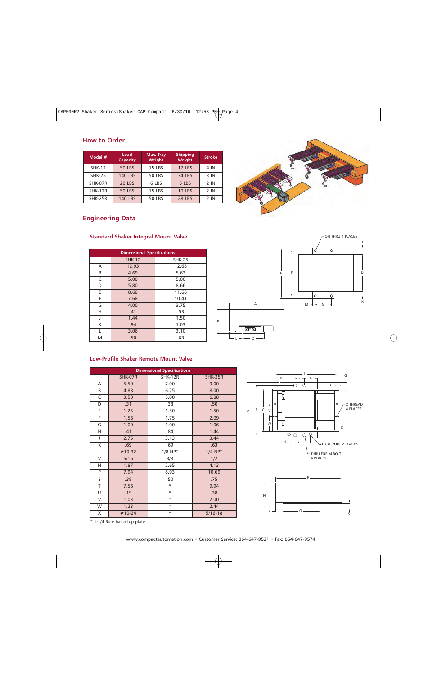# **How to Order**

| Model #        | Load<br>Capacity | Max. Tray<br>Weight | <b>Shipping</b><br>Weight | <b>Stroke</b> |
|----------------|------------------|---------------------|---------------------------|---------------|
| <b>SHK-12</b>  | <b>50 LBS</b>    | <b>15 LBS</b>       | <b>17 LBS</b>             | 4 IN          |
| <b>SHK-25</b>  | <b>140 LBS</b>   | <b>50 LBS</b>       | 34 LBS                    | 3 IN          |
| SHK-07R        | <b>20 LBS</b>    | 6 LBS               | 5 LBS                     | $2$ IN        |
| <b>SHK-12R</b> | <b>50 LBS</b>    | <b>15 LBS</b>       | <b>10 LBS</b>             | 2 IN          |
| SHK-25R        | <b>140 LBS</b>   | <b>50 LBS</b>       | <b>28 LBS</b>             | $2$ IN        |

# **Engineering Data**

# **Standard Shaker Integral Mount Valve**

| <b>Dimensional Specifications</b> |               |               |  |  |  |
|-----------------------------------|---------------|---------------|--|--|--|
|                                   | <b>SHK-12</b> | <b>SHK-25</b> |  |  |  |
| A                                 | 12.93         | 12.68         |  |  |  |
| В                                 | 4.69          | 5.63          |  |  |  |
| C                                 | 5.00          | 5.00          |  |  |  |
| D                                 | 5.80          | 8.66          |  |  |  |
| Е                                 | 8.68          | 11.66         |  |  |  |
| F                                 | 7.68          | 10.41         |  |  |  |
| G                                 | 4.00          | 3.75          |  |  |  |
| н                                 | .41           | .53           |  |  |  |
| J                                 | 1.44          | 1.50          |  |  |  |
| Κ                                 | .94           | 1.03          |  |  |  |
| L                                 | 3.06          | 3.10          |  |  |  |
| M                                 | .50           | .63           |  |  |  |







### **Low-Profile Shaker Remote Mount Valve**

| <b>Dimensional Specifications</b> |          |                |                |  |  |  |
|-----------------------------------|----------|----------------|----------------|--|--|--|
|                                   | SHK-07R  | SHK-12R        | <b>SHK-25R</b> |  |  |  |
| A                                 | 5.50     | 7.00           | 9.00           |  |  |  |
| B                                 | 4.88     | 6.25           | 8.00           |  |  |  |
| C                                 | 3.50     | 5.00           | 6.88           |  |  |  |
| D                                 | .31      | .38            | .50            |  |  |  |
| E                                 | 1.25     | 1.50           | 1.50           |  |  |  |
| F                                 | 1.56     | 1.75           | 2.09           |  |  |  |
| G                                 | 1.00     | 1.00           | 1.06           |  |  |  |
| н                                 | .41      | .84            | 1.44           |  |  |  |
| J                                 | 2.75     | 3.13           | 3.44           |  |  |  |
| Κ                                 | .69      | .69            | .63            |  |  |  |
| L                                 | #10-32   | <b>1/8 NPT</b> | <b>1/4 NPT</b> |  |  |  |
| M                                 | 5/16     | 3/8            | 1/2            |  |  |  |
| N                                 | 1.87     | 2.65           | 4.13           |  |  |  |
| P                                 | 7.94     | 8.93           | 10.69          |  |  |  |
| S                                 | .38      | .50            | .75            |  |  |  |
| T                                 | 7.56     | $\star$        | 9.94           |  |  |  |
| U                                 | .19      | $\star$        | .38            |  |  |  |
| V                                 | 1.03     | $\star$        | 2.00           |  |  |  |
| W                                 | 1.23     | $\star$        | 2.44           |  |  |  |
| X                                 | $#10-24$ | $\star$        | $5/16 - 18$    |  |  |  |





\* 1-1/4 Bore has a top plate